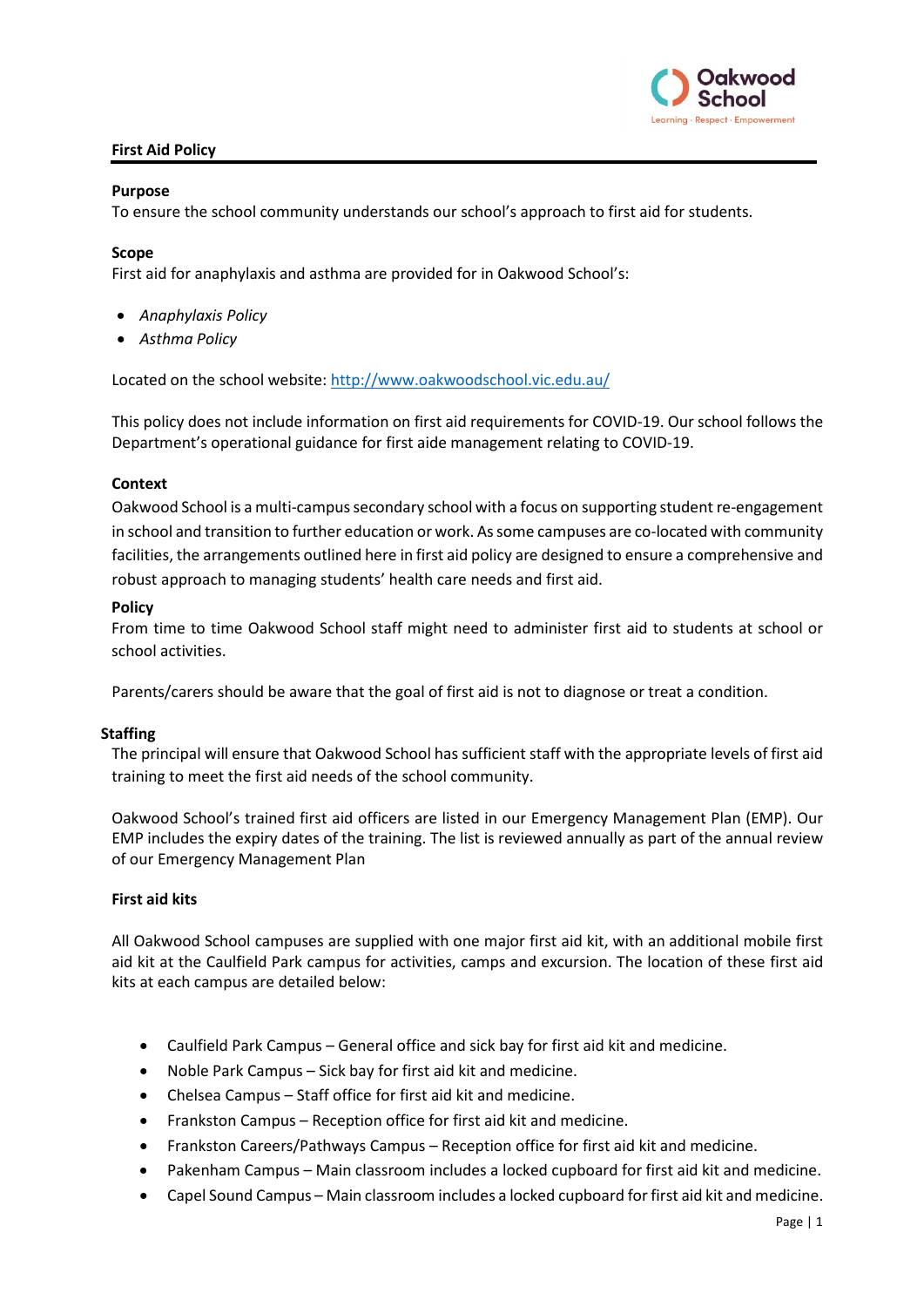

# **First Aid Policy**

### **Purpose**

To ensure the school community understands our school's approach to first aid for students.

#### **Scope**

First aid for anaphylaxis and asthma are provided for in Oakwood School's:

- *Anaphylaxis Policy*
- *Asthma Policy*

Located on the school website:<http://www.oakwoodschool.vic.edu.au/>

This policy does not include information on first aid requirements for COVID-19. Our school follows the Department's operational guidance for first aide management relating to COVID-19.

#### **Context**

Oakwood School is a multi-campus secondary school with a focus on supporting student re-engagement in school and transition to further education or work. As some campuses are co-located with community facilities, the arrangements outlined here in first aid policy are designed to ensure a comprehensive and robust approach to managing students' health care needs and first aid.

### **Policy**

From time to time Oakwood School staff might need to administer first aid to students at school or school activities.

Parents/carers should be aware that the goal of first aid is not to diagnose or treat a condition.

#### **Staffing**

The principal will ensure that Oakwood School has sufficient staff with the appropriate levels of first aid training to meet the first aid needs of the school community.

Oakwood School's trained first aid officers are listed in our Emergency Management Plan (EMP). Our EMP includes the expiry dates of the training. The list is reviewed annually as part of the annual review of our Emergency Management Plan

# **First aid kits**

All Oakwood School campuses are supplied with one major first aid kit, with an additional mobile first aid kit at the Caulfield Park campus for activities, camps and excursion. The location of these first aid kits at each campus are detailed below:

- Caulfield Park Campus General office and sick bay for first aid kit and medicine.
- Noble Park Campus Sick bay for first aid kit and medicine.
- Chelsea Campus Staff office for first aid kit and medicine.
- Frankston Campus Reception office for first aid kit and medicine.
- Frankston Careers/Pathways Campus Reception office for first aid kit and medicine.
- Pakenham Campus Main classroom includes a locked cupboard for first aid kit and medicine.
- Capel Sound Campus Main classroom includes a locked cupboard for first aid kit and medicine.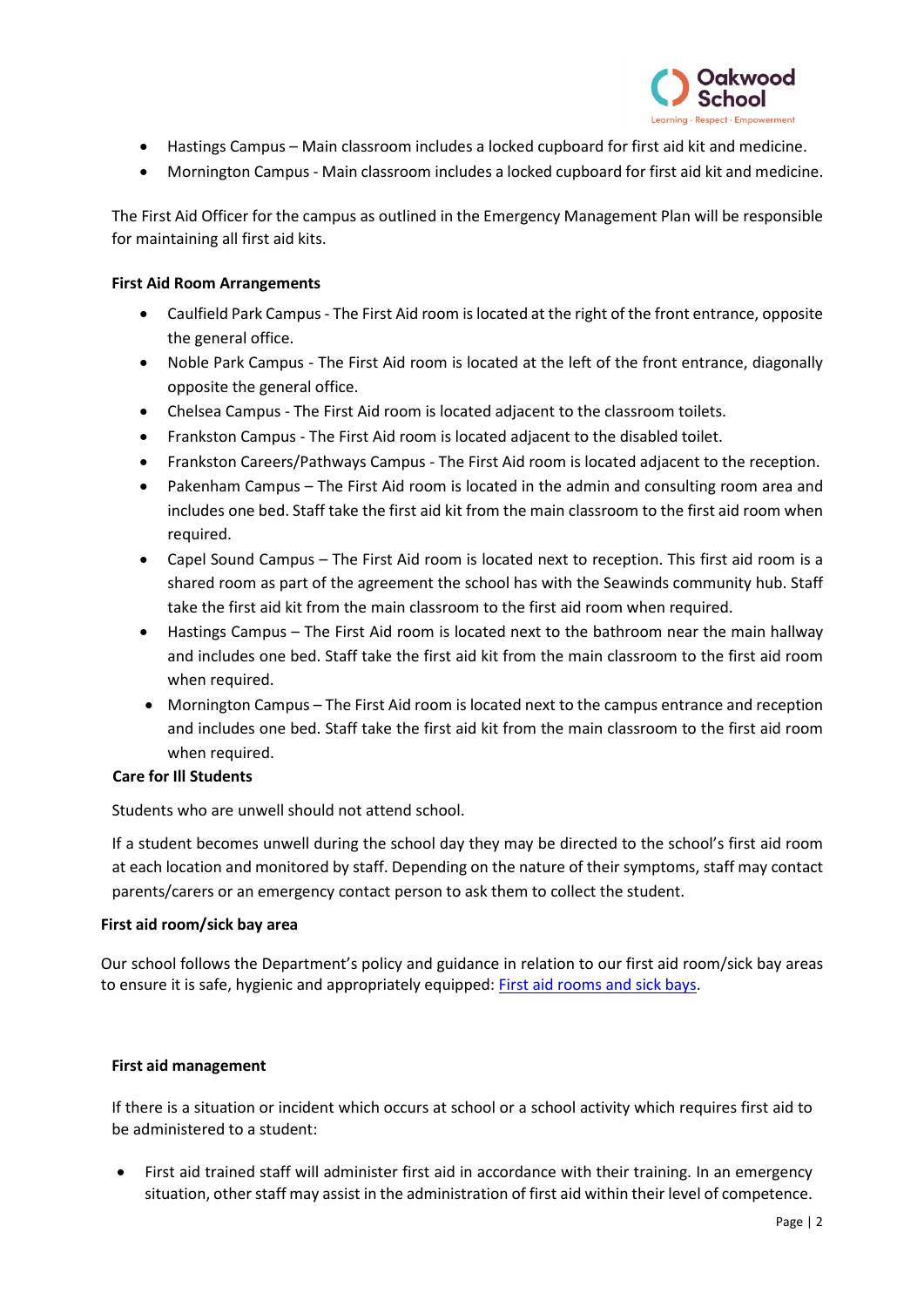

- Hastings Campus Main classroom includes a locked cupboard for first aid kit and medicine.
- Mornington Campus Main classroom includes a locked cupboard for first aid kit and medicine.

The First Aid Officer for the campus as outlined in the Emergency Management Plan will be responsible for maintaining all first aid kits.

### **First Aid Room Arrangements**

- Caulfield Park Campus The First Aid room is located at the right of the front entrance, opposite the general office.
- Noble Park Campus The First Aid room is located at the left of the front entrance, diagonally opposite the general office.
- Chelsea Campus The First Aid room is located adjacent to the classroom toilets.
- Frankston Campus The First Aid room is located adjacent to the disabled toilet.
- Frankston Careers/Pathways Campus The First Aid room is located adjacent to the reception.
- Pakenham Campus The First Aid room is located in the admin and consulting room area and includes one bed. Staff take the first aid kit from the main classroom to the first aid room when required.
- Capel Sound Campus The First Aid room is located next to reception. This first aid room is a shared room as part of the agreement the school has with the Seawinds community hub. Staff take the first aid kit from the main classroom to the first aid room when required.
- Hastings Campus The First Aid room is located next to the bathroom near the main hallway and includes one bed. Staff take the first aid kit from the main classroom to the first aid room when required.
- Mornington Campus The First Aid room is located next to the campus entrance and reception and includes one bed. Staff take the first aid kit from the main classroom to the first aid room when required.

# **Care for Ill Students**

Students who are unwell should not attend school.

If a student becomes unwell during the school day they may be directed to the school's first aid room at each location and monitored by staff. Depending on the nature of their symptoms, staff may contact parents/carers or an emergency contact person to ask them to collect the student.

#### **First aid room/sick bay area**

Our school follows the Department's policy and guidance in relation to our first aid room/sick bay areas to ensure it is safe, hygienic and appropriately equipped: [First aid rooms and sick bays.](https://www2.education.vic.gov.au/pal/first-aid-students-and-staff/guidance/first-aid-rooms-and-sick-bays)

#### **First aid management**

If there is a situation or incident which occurs at school or a school activity which requires first aid to be administered to a student:

• First aid trained staff will administer first aid in accordance with their training. In an emergency situation, other staff may assist in the administration of first aid within their level of competence.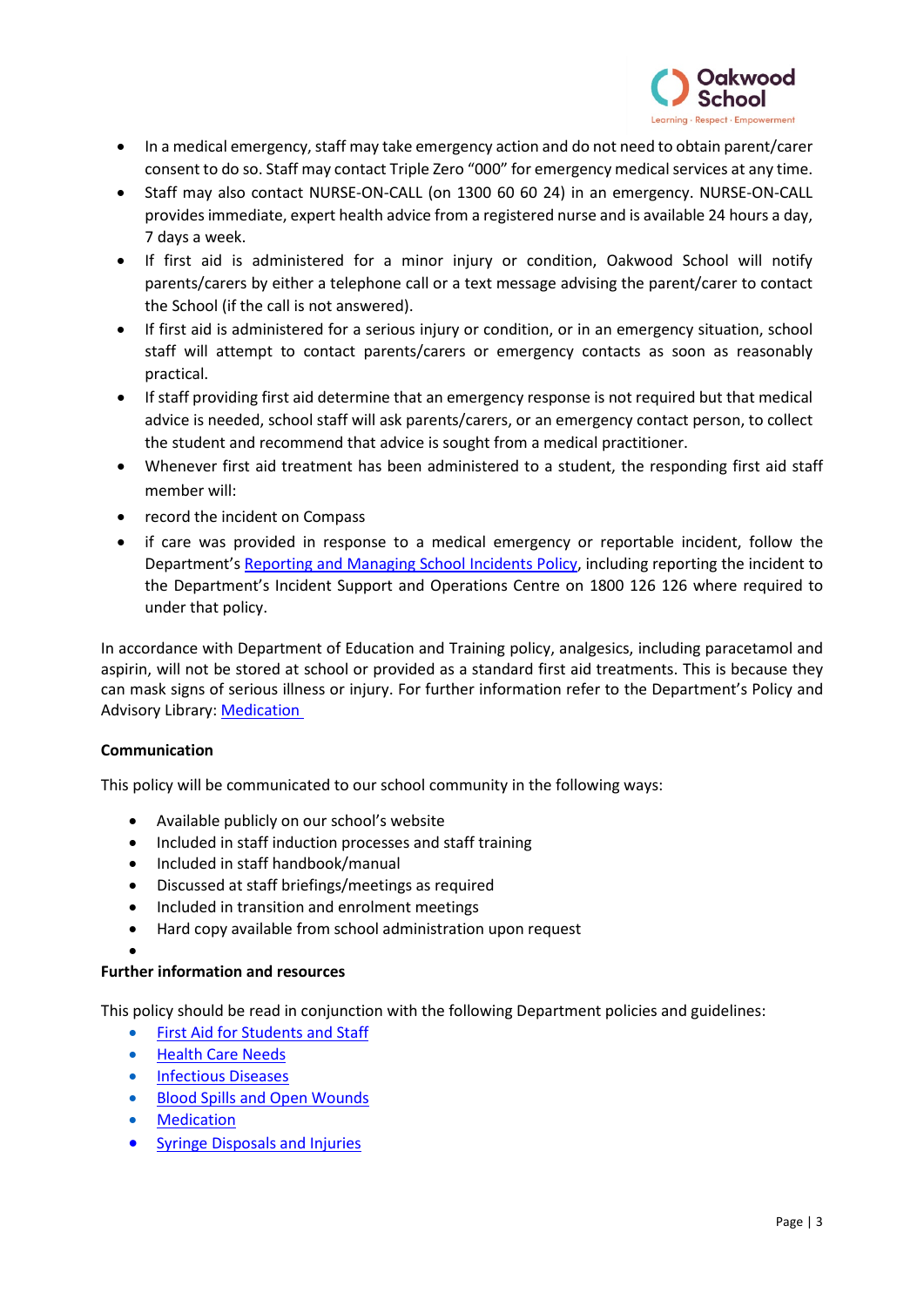

- In a medical emergency, staff may take emergency action and do not need to obtain parent/carer consent to do so. Staff may contact Triple Zero "000" for emergency medical services at any time.
- Staff may also contact NURSE-ON-CALL (on 1300 60 60 24) in an emergency. NURSE-ON-CALL provides immediate, expert health advice from a registered nurse and is available 24 hours a day, 7 days a week.
- If first aid is administered for a minor injury or condition, Oakwood School will notify parents/carers by either a telephone call or a text message advising the parent/carer to contact the School (if the call is not answered).
- If first aid is administered for a serious injury or condition, or in an emergency situation, school staff will attempt to contact parents/carers or emergency contacts as soon as reasonably practical.
- If staff providing first aid determine that an emergency response is not required but that medical advice is needed, school staff will ask parents/carers, or an emergency contact person, to collect the student and recommend that advice is sought from a medical practitioner.
- Whenever first aid treatment has been administered to a student, the responding first aid staff member will:
- record the incident on Compass
- if care was provided in response to a medical emergency or reportable incident, follow the Department'[s Reporting and Managing School Incidents Policy,](https://www2.education.vic.gov.au/pal/reporting-and-managing-school-incidents-including-emergencies/policy) including reporting the incident to the Department's Incident Support and Operations Centre on 1800 126 126 where required to under that policy.

In accordance with Department of Education and Training policy, analgesics, including paracetamol and aspirin, will not be stored at school or provided as a standard first aid treatments. This is because they can mask signs of serious illness or injury. For further information refer to the Department's Policy and Advisory Library: [Medication](https://www2.education.vic.gov.au/pal/medication/policy)

# **Communication**

This policy will be communicated to our school community in the following ways:

- Available publicly on our school's website
- Included in staff induction processes and staff training
- Included in staff handbook/manual
- Discussed at staff briefings/meetings as required
- Included in transition and enrolment meetings
- Hard copy available from school administration upon request

# •

# **Further information and resources**

This policy should be read in conjunction with the following Department policies and guidelines:

- [First Aid for Students and Staff](https://www2.education.vic.gov.au/pal/first-aid-students-and-staff/policy)
- [Health Care Needs](https://www2.education.vic.gov.au/pal/health-care-needs/policy)
- [Infectious Diseases](https://www2.education.vic.gov.au/pal/infectious-diseases/policy)
- [Blood Spills and Open Wounds](https://www2.education.vic.gov.au/pal/blood-spills-and-open-wounds-management/policy)
- **[Medication](https://www2.education.vic.gov.au/pal/medication/policy)**
- [Syringe Disposals and Injuries](https://www2.education.vic.gov.au/pal/syringe-disposal/policy)